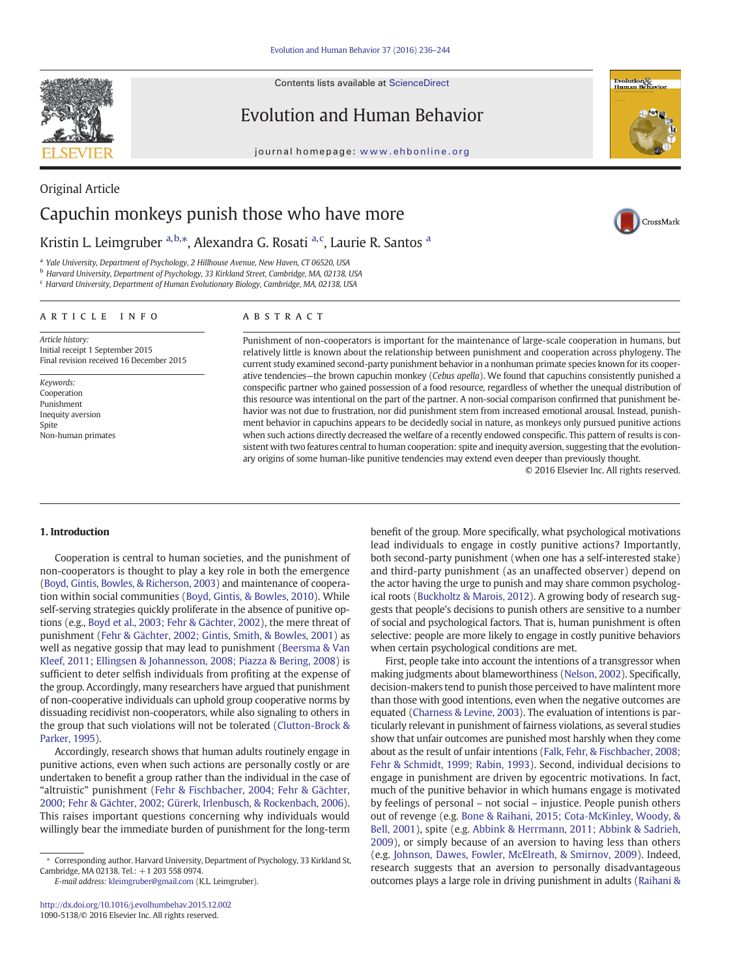Contents lists available at ScienceDirect



Evolution and Human Behavior

journal homepage: www.ehbonline.org



CrossMark

# Original Article Capuchin monkeys punish those who have more

Kristin L. Leimgruber <sup>a, b,\*</sup>, Alexandra G. Rosati <sup>a, c</sup>, Laurie R. Santos <sup>a</sup>

<sup>a</sup> Yale University, Department of Psychology, 2 Hillhouse Avenue, New Haven, CT 06520, USA

<sup>b</sup> Harvard University, Department of Psychology, 33 Kirkland Street, Cambridge, MA, 02138, USA

<sup>c</sup> Harvard University, Department of Human Evolutionary Biology, Cambridge, MA, 02138, USA

# article info abstract

Article history: Initial receipt 1 September 2015 Final revision received 16 December 2015

Keywords: Cooperation Punishment Inequity aversion Spite Non-human primates

Punishment of non-cooperators is important for the maintenance of large-scale cooperation in humans, but relatively little is known about the relationship between punishment and cooperation across phylogeny. The current study examined second-party punishment behavior in a nonhuman primate species known for its cooperative tendencies—the brown capuchin monkey (Cebus apella). We found that capuchins consistently punished a conspecific partner who gained possession of a food resource, regardless of whether the unequal distribution of this resource was intentional on the part of the partner. A non-social comparison confirmed that punishment behavior was not due to frustration, nor did punishment stem from increased emotional arousal. Instead, punishment behavior in capuchins appears to be decidedly social in nature, as monkeys only pursued punitive actions when such actions directly decreased the welfare of a recently endowed conspecific. This pattern of results is consistent with two features central to human cooperation: spite and inequity aversion, suggesting that the evolutionary origins of some human-like punitive tendencies may extend even deeper than previously thought.

© 2016 Elsevier Inc. All rights reserved.

#### 1. Introduction

Cooperation is central to human societies, and the punishment of non-cooperators is thought to play a key role in both the emergence ([Boyd, Gintis, Bowles, & Richerson, 2003\)](#page-7-0) and maintenance of cooperation within social communities ([Boyd, Gintis, & Bowles, 2010](#page-7-0)). While self-serving strategies quickly proliferate in the absence of punitive options (e.g., [Boyd et al., 2003; Fehr & Gächter, 2002\)](#page-7-0), the mere threat of punishment [\(Fehr & Gächter, 2002; Gintis, Smith, & Bowles, 2001](#page-8-0)) as well as negative gossip that may lead to punishment ([Beersma & Van](#page-7-0) [Kleef, 2011; Ellingsen & Johannesson, 2008; Piazza & Bering, 2008\)](#page-7-0) is sufficient to deter selfish individuals from profiting at the expense of the group. Accordingly, many researchers have argued that punishment of non-cooperative individuals can uphold group cooperative norms by dissuading recidivist non-cooperators, while also signaling to others in the group that such violations will not be tolerated ([Clutton-Brock &](#page-7-0) [Parker, 1995](#page-7-0)).

Accordingly, research shows that human adults routinely engage in punitive actions, even when such actions are personally costly or are undertaken to benefit a group rather than the individual in the case of "altruistic" punishment ([Fehr & Fischbacher, 2004; Fehr & Gächter,](#page-7-0) [2000; Fehr & Gächter, 2002; Gürerk, Irlenbusch, & Rockenbach, 2006](#page-7-0)). This raises important questions concerning why individuals would willingly bear the immediate burden of punishment for the long-term

E-mail address: [kleimgruber@gmail.com](mailto:kleimgruber@gmail.com) (K.L. Leimgruber).

benefit of the group. More specifically, what psychological motivations lead individuals to engage in costly punitive actions? Importantly, both second-party punishment (when one has a self-interested stake) and third-party punishment (as an unaffected observer) depend on the actor having the urge to punish and may share common psychological roots [\(Buckholtz & Marois, 2012\)](#page-7-0). A growing body of research suggests that people's decisions to punish others are sensitive to a number of social and psychological factors. That is, human punishment is often selective: people are more likely to engage in costly punitive behaviors when certain psychological conditions are met.

First, people take into account the intentions of a transgressor when making judgments about blameworthiness [\(Nelson, 2002](#page-8-0)). Specifically, decision-makers tend to punish those perceived to have malintent more than those with good intentions, even when the negative outcomes are equated ([Charness & Levine, 2003\)](#page-7-0). The evaluation of intentions is particularly relevant in punishment of fairness violations, as several studies show that unfair outcomes are punished most harshly when they come about as the result of unfair intentions ([Falk, Fehr, & Fischbacher, 2008;](#page-7-0) [Fehr & Schmidt, 1999; Rabin, 1993](#page-7-0)). Second, individual decisions to engage in punishment are driven by egocentric motivations. In fact, much of the punitive behavior in which humans engage is motivated by feelings of personal – not social – injustice. People punish others out of revenge (e.g. [Bone & Raihani, 2015; Cota](#page-7-0)‐McKinley, Woody, & [Bell, 2001\)](#page-7-0), spite (e.g. [Abbink & Herrmann, 2011; Abbink & Sadrieh,](#page-7-0) [2009\)](#page-7-0), or simply because of an aversion to having less than others (e.g. [Johnson, Dawes, Fowler, McElreath, & Smirnov, 2009](#page-8-0)). Indeed, research suggests that an aversion to personally disadvantageous outcomes plays a large role in driving punishment in adults [\(Raihani &](#page-8-0)

<sup>⁎</sup> Corresponding author. Harvard University, Department of Psychology, 33 Kirkland St, Cambridge, MA 02138. Tel.: +1 203 558 0974.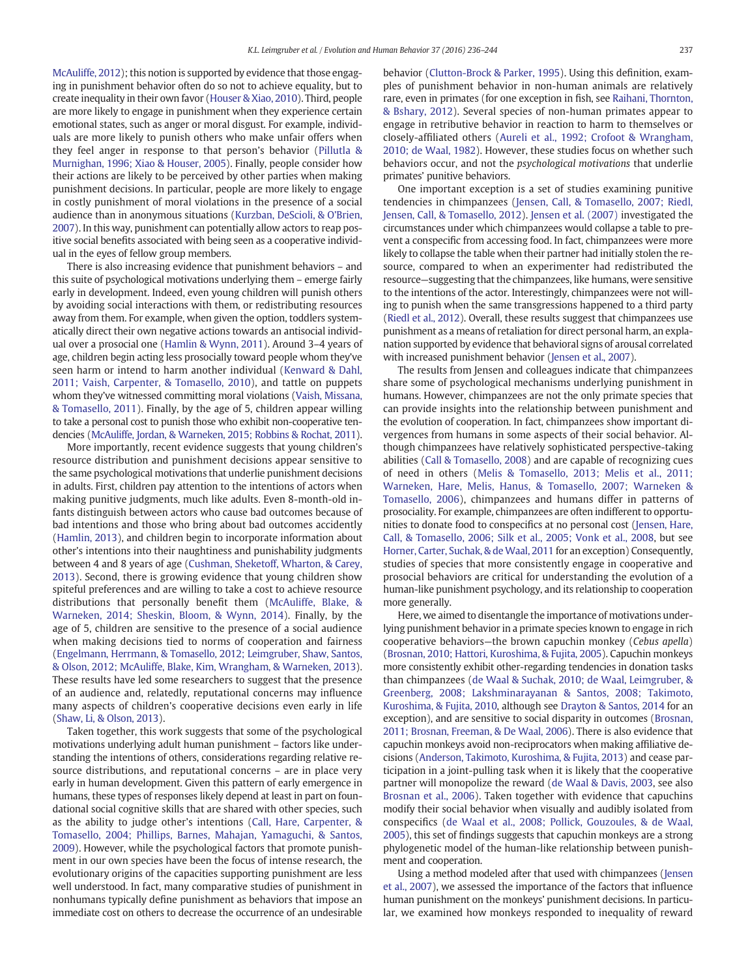[McAuliffe, 2012\)](#page-8-0); this notion is supported by evidence that those engaging in punishment behavior often do so not to achieve equality, but to create inequality in their own favor [\(Houser & Xiao, 2010\)](#page-8-0). Third, people are more likely to engage in punishment when they experience certain emotional states, such as anger or moral disgust. For example, individuals are more likely to punish others who make unfair offers when they feel anger in response to that person's behavior [\(Pillutla &](#page-8-0) [Murnighan, 1996; Xiao & Houser, 2005](#page-8-0)). Finally, people consider how their actions are likely to be perceived by other parties when making punishment decisions. In particular, people are more likely to engage in costly punishment of moral violations in the presence of a social audience than in anonymous situations [\(Kurzban, DeScioli, & O](#page-8-0)'Brien, [2007](#page-8-0)). In this way, punishment can potentially allow actors to reap positive social benefits associated with being seen as a cooperative individual in the eyes of fellow group members.

There is also increasing evidence that punishment behaviors – and this suite of psychological motivations underlying them – emerge fairly early in development. Indeed, even young children will punish others by avoiding social interactions with them, or redistributing resources away from them. For example, when given the option, toddlers systematically direct their own negative actions towards an antisocial individual over a prosocial one [\(Hamlin & Wynn, 2011](#page-8-0)). Around 3–4 years of age, children begin acting less prosocially toward people whom they've seen harm or intend to harm another individual [\(Kenward & Dahl,](#page-8-0) [2011; Vaish, Carpenter, & Tomasello, 2010](#page-8-0)), and tattle on puppets whom they've witnessed committing moral violations ([Vaish, Missana,](#page-8-0) [& Tomasello, 2011\)](#page-8-0). Finally, by the age of 5, children appear willing to take a personal cost to punish those who exhibit non-cooperative tendencies [\(McAuliffe, Jordan, & Warneken, 2015; Robbins & Rochat, 2011](#page-8-0)).

More importantly, recent evidence suggests that young children's resource distribution and punishment decisions appear sensitive to the same psychological motivations that underlie punishment decisions in adults. First, children pay attention to the intentions of actors when making punitive judgments, much like adults. Even 8-month-old infants distinguish between actors who cause bad outcomes because of bad intentions and those who bring about bad outcomes accidently [\(Hamlin, 2013](#page-8-0)), and children begin to incorporate information about other's intentions into their naughtiness and punishability judgments between 4 and 8 years of age [\(Cushman, Sheketoff, Wharton, & Carey,](#page-7-0) [2013\)](#page-7-0). Second, there is growing evidence that young children show spiteful preferences and are willing to take a cost to achieve resource distributions that personally benefit them [\(McAuliffe, Blake, &](#page-8-0) [Warneken, 2014; Sheskin, Bloom, & Wynn, 2014\)](#page-8-0). Finally, by the age of 5, children are sensitive to the presence of a social audience when making decisions tied to norms of cooperation and fairness [\(Engelmann, Herrmann, & Tomasello, 2012; Leimgruber, Shaw, Santos,](#page-7-0) [& Olson, 2012; McAuliffe, Blake, Kim, Wrangham, & Warneken, 2013](#page-7-0)). These results have led some researchers to suggest that the presence of an audience and, relatedly, reputational concerns may influence many aspects of children's cooperative decisions even early in life [\(Shaw, Li, & Olson, 2013\)](#page-8-0).

Taken together, this work suggests that some of the psychological motivations underlying adult human punishment – factors like understanding the intentions of others, considerations regarding relative resource distributions, and reputational concerns – are in place very early in human development. Given this pattern of early emergence in humans, these types of responses likely depend at least in part on foundational social cognitive skills that are shared with other species, such as the ability to judge other's intentions [\(Call, Hare, Carpenter, &](#page-7-0) [Tomasello, 2004; Phillips, Barnes, Mahajan, Yamaguchi, & Santos,](#page-7-0) [2009](#page-7-0)). However, while the psychological factors that promote punishment in our own species have been the focus of intense research, the evolutionary origins of the capacities supporting punishment are less well understood. In fact, many comparative studies of punishment in nonhumans typically define punishment as behaviors that impose an immediate cost on others to decrease the occurrence of an undesirable behavior ([Clutton-Brock & Parker, 1995\)](#page-7-0). Using this definition, examples of punishment behavior in non-human animals are relatively rare, even in primates (for one exception in fish, see [Raihani, Thornton,](#page-8-0) [& Bshary, 2012](#page-8-0)). Several species of non-human primates appear to engage in retributive behavior in reaction to harm to themselves or closely-affiliated others ([Aureli et al., 1992; Crofoot & Wrangham,](#page-7-0) [2010; de Waal, 1982\)](#page-7-0). However, these studies focus on whether such behaviors occur, and not the psychological motivations that underlie primates' punitive behaviors.

One important exception is a set of studies examining punitive tendencies in chimpanzees [\(Jensen, Call, & Tomasello, 2007; Riedl,](#page-8-0) [Jensen, Call, & Tomasello, 2012\)](#page-8-0). [Jensen et al. \(2007\)](#page-8-0) investigated the circumstances under which chimpanzees would collapse a table to prevent a conspecific from accessing food. In fact, chimpanzees were more likely to collapse the table when their partner had initially stolen the resource, compared to when an experimenter had redistributed the resource—suggesting that the chimpanzees, like humans, were sensitive to the intentions of the actor. Interestingly, chimpanzees were not willing to punish when the same transgressions happened to a third party [\(Riedl et al., 2012\)](#page-8-0). Overall, these results suggest that chimpanzees use punishment as a means of retaliation for direct personal harm, an explanation supported by evidence that behavioral signs of arousal correlated with increased punishment behavior ([Jensen et al., 2007\)](#page-8-0).

The results from Jensen and colleagues indicate that chimpanzees share some of psychological mechanisms underlying punishment in humans. However, chimpanzees are not the only primate species that can provide insights into the relationship between punishment and the evolution of cooperation. In fact, chimpanzees show important divergences from humans in some aspects of their social behavior. Although chimpanzees have relatively sophisticated perspective-taking abilities ([Call & Tomasello, 2008\)](#page-7-0) and are capable of recognizing cues of need in others ([Melis & Tomasello, 2013; Melis et al., 2011;](#page-8-0) [Warneken, Hare, Melis, Hanus, & Tomasello, 2007; Warneken &](#page-8-0) [Tomasello, 2006](#page-8-0)), chimpanzees and humans differ in patterns of prosociality. For example, chimpanzees are often indifferent to opportunities to donate food to conspecifics at no personal cost [\(Jensen, Hare,](#page-8-0) [Call, & Tomasello, 2006; Silk et al., 2005; Vonk et al., 2008,](#page-8-0) but see Horner, Carter, Suchak, & de Waal, 2011 for an exception) Consequently, studies of species that more consistently engage in cooperative and prosocial behaviors are critical for understanding the evolution of a human-like punishment psychology, and its relationship to cooperation more generally.

Here, we aimed to disentangle the importance of motivations underlying punishment behavior in a primate species known to engage in rich cooperative behaviors—the brown capuchin monkey (Cebus apella) [\(Brosnan, 2010; Hattori, Kuroshima, & Fujita, 2005\)](#page-7-0). Capuchin monkeys more consistently exhibit other-regarding tendencies in donation tasks than chimpanzees ([de Waal & Suchak, 2010; de Waal, Leimgruber, &](#page-7-0) [Greenberg, 2008; Lakshminarayanan & Santos, 2008; Takimoto,](#page-7-0) [Kuroshima, & Fujita, 2010,](#page-7-0) although see [Drayton & Santos, 2014](#page-7-0) for an exception), and are sensitive to social disparity in outcomes ([Brosnan,](#page-7-0) [2011; Brosnan, Freeman, & De Waal, 2006](#page-7-0)). There is also evidence that capuchin monkeys avoid non-reciprocators when making affiliative decisions ([Anderson, Takimoto, Kuroshima, & Fujita, 2013](#page-7-0)) and cease participation in a joint-pulling task when it is likely that the cooperative partner will monopolize the reward [\(de Waal & Davis, 2003](#page-7-0), see also [Brosnan et al., 2006\)](#page-7-0). Taken together with evidence that capuchins modify their social behavior when visually and audibly isolated from conspecifics ([de Waal et al., 2008; Pollick, Gouzoules, & de Waal,](#page-7-0) [2005](#page-7-0)), this set of findings suggests that capuchin monkeys are a strong phylogenetic model of the human-like relationship between punishment and cooperation.

Using a method modeled after that used with chimpanzees [\(Jensen](#page-8-0) [et al., 2007](#page-8-0)), we assessed the importance of the factors that influence human punishment on the monkeys' punishment decisions. In particular, we examined how monkeys responded to inequality of reward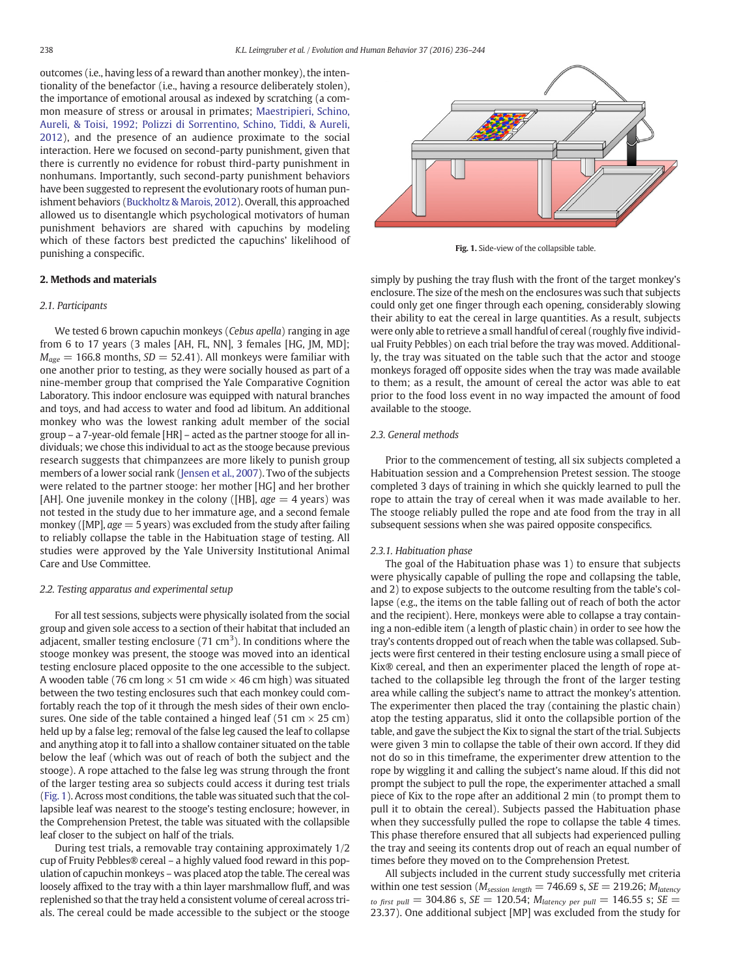outcomes (i.e., having less of a reward than another monkey), the intentionality of the benefactor (i.e., having a resource deliberately stolen), the importance of emotional arousal as indexed by scratching (a common measure of stress or arousal in primates; [Maestripieri, Schino,](#page-8-0) [Aureli, & Toisi, 1992; Polizzi di Sorrentino, Schino, Tiddi, & Aureli,](#page-8-0) [2012\)](#page-8-0), and the presence of an audience proximate to the social interaction. Here we focused on second-party punishment, given that there is currently no evidence for robust third-party punishment in nonhumans. Importantly, such second-party punishment behaviors have been suggested to represent the evolutionary roots of human punishment behaviors ([Buckholtz & Marois, 2012\)](#page-7-0). Overall, this approached allowed us to disentangle which psychological motivators of human punishment behaviors are shared with capuchins by modeling which of these factors best predicted the capuchins' likelihood of punishing a conspecific.

## 2. Methods and materials

#### 2.1. Participants

We tested 6 brown capuchin monkeys (Cebus apella) ranging in age from 6 to 17 years (3 males [AH, FL, NN], 3 females [HG, JM, MD];  $M_{\text{age}} = 166.8$  months,  $SD = 52.41$ ). All monkeys were familiar with one another prior to testing, as they were socially housed as part of a nine-member group that comprised the Yale Comparative Cognition Laboratory. This indoor enclosure was equipped with natural branches and toys, and had access to water and food ad libitum. An additional monkey who was the lowest ranking adult member of the social group – a 7-year-old female [HR] – acted as the partner stooge for all individuals; we chose this individual to act as the stooge because previous research suggests that chimpanzees are more likely to punish group members of a lower social rank ([Jensen et al., 2007](#page-8-0)). Two of the subjects were related to the partner stooge: her mother [HG] and her brother [AH]. One juvenile monkey in the colony ([HB],  $age = 4$  years) was not tested in the study due to her immature age, and a second female monkey ([MP],  $age = 5$  years) was excluded from the study after failing to reliably collapse the table in the Habituation stage of testing. All studies were approved by the Yale University Institutional Animal Care and Use Committee.

#### 2.2. Testing apparatus and experimental setup

For all test sessions, subjects were physically isolated from the social group and given sole access to a section of their habitat that included an adjacent, smaller testing enclosure (71 cm<sup>3</sup>). In conditions where the stooge monkey was present, the stooge was moved into an identical testing enclosure placed opposite to the one accessible to the subject. A wooden table (76 cm long  $\times$  51 cm wide  $\times$  46 cm high) was situated between the two testing enclosures such that each monkey could comfortably reach the top of it through the mesh sides of their own enclosures. One side of the table contained a hinged leaf (51 cm  $\times$  25 cm) held up by a false leg; removal of the false leg caused the leaf to collapse and anything atop it to fall into a shallow container situated on the table below the leaf (which was out of reach of both the subject and the stooge). A rope attached to the false leg was strung through the front of the larger testing area so subjects could access it during test trials (Fig. 1). Across most conditions, the table was situated such that the collapsible leaf was nearest to the stooge's testing enclosure; however, in the Comprehension Pretest, the table was situated with the collapsible leaf closer to the subject on half of the trials.

During test trials, a removable tray containing approximately 1/2 cup of Fruity Pebbles® cereal – a highly valued food reward in this population of capuchin monkeys – was placed atop the table. The cereal was loosely affixed to the tray with a thin layer marshmallow fluff, and was replenished so that the tray held a consistent volume of cereal across trials. The cereal could be made accessible to the subject or the stooge



Fig. 1. Side-view of the collapsible table.

simply by pushing the tray flush with the front of the target monkey's enclosure. The size of the mesh on the enclosures was such that subjects could only get one finger through each opening, considerably slowing their ability to eat the cereal in large quantities. As a result, subjects were only able to retrieve a small handful of cereal (roughly five individual Fruity Pebbles) on each trial before the tray was moved. Additionally, the tray was situated on the table such that the actor and stooge monkeys foraged off opposite sides when the tray was made available to them; as a result, the amount of cereal the actor was able to eat prior to the food loss event in no way impacted the amount of food available to the stooge.

### 2.3. General methods

Prior to the commencement of testing, all six subjects completed a Habituation session and a Comprehension Pretest session. The stooge completed 3 days of training in which she quickly learned to pull the rope to attain the tray of cereal when it was made available to her. The stooge reliably pulled the rope and ate food from the tray in all subsequent sessions when she was paired opposite conspecifics.

#### 2.3.1. Habituation phase

The goal of the Habituation phase was 1) to ensure that subjects were physically capable of pulling the rope and collapsing the table, and 2) to expose subjects to the outcome resulting from the table's collapse (e.g., the items on the table falling out of reach of both the actor and the recipient). Here, monkeys were able to collapse a tray containing a non-edible item (a length of plastic chain) in order to see how the tray's contents dropped out of reach when the table was collapsed. Subjects were first centered in their testing enclosure using a small piece of Kix® cereal, and then an experimenter placed the length of rope attached to the collapsible leg through the front of the larger testing area while calling the subject's name to attract the monkey's attention. The experimenter then placed the tray (containing the plastic chain) atop the testing apparatus, slid it onto the collapsible portion of the table, and gave the subject the Kix to signal the start of the trial. Subjects were given 3 min to collapse the table of their own accord. If they did not do so in this timeframe, the experimenter drew attention to the rope by wiggling it and calling the subject's name aloud. If this did not prompt the subject to pull the rope, the experimenter attached a small piece of Kix to the rope after an additional 2 min (to prompt them to pull it to obtain the cereal). Subjects passed the Habituation phase when they successfully pulled the rope to collapse the table 4 times. This phase therefore ensured that all subjects had experienced pulling the tray and seeing its contents drop out of reach an equal number of times before they moved on to the Comprehension Pretest.

All subjects included in the current study successfully met criteria within one test session ( $M_{session\ length} = 746.69$  s,  $SE = 219.26$ ;  $M_{latercy}$ to first pull = 304.86 s,  $SE = 120.54$ ;  $M_{\text{latency per pull}} = 146.55$  s;  $SE =$ 23.37). One additional subject [MP] was excluded from the study for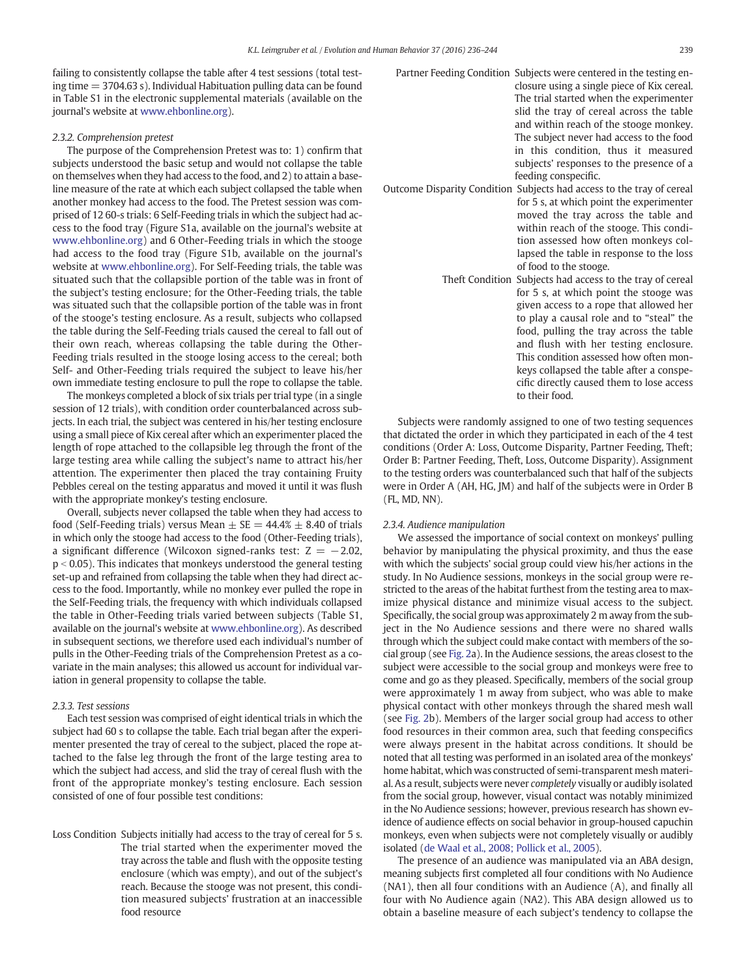failing to consistently collapse the table after 4 test sessions (total testing time  $=$  3704.63 s). Individual Habituation pulling data can be found in Table S1 in the electronic supplemental materials (available on the journal's website at [www.ehbonline.org](http://www.ehbonline.org)).

### 2.3.2. Comprehension pretest

The purpose of the Comprehension Pretest was to: 1) confirm that subjects understood the basic setup and would not collapse the table on themselves when they had access to the food, and 2) to attain a baseline measure of the rate at which each subject collapsed the table when another monkey had access to the food. The Pretest session was comprised of 12 60-s trials: 6 Self-Feeding trials in which the subject had access to the food tray (Figure S1a, available on the journal's website at [www.ehbonline.org\)](http://www.ehbonline.org) and 6 Other-Feeding trials in which the stooge had access to the food tray (Figure S1b, available on the journal's website at [www.ehbonline.org](http://www.ehbonline.org)). For Self-Feeding trials, the table was situated such that the collapsible portion of the table was in front of the subject's testing enclosure; for the Other-Feeding trials, the table was situated such that the collapsible portion of the table was in front of the stooge's testing enclosure. As a result, subjects who collapsed the table during the Self-Feeding trials caused the cereal to fall out of their own reach, whereas collapsing the table during the Other-Feeding trials resulted in the stooge losing access to the cereal; both Self- and Other-Feeding trials required the subject to leave his/her own immediate testing enclosure to pull the rope to collapse the table.

The monkeys completed a block of six trials per trial type (in a single session of 12 trials), with condition order counterbalanced across subjects. In each trial, the subject was centered in his/her testing enclosure using a small piece of Kix cereal after which an experimenter placed the length of rope attached to the collapsible leg through the front of the large testing area while calling the subject's name to attract his/her attention. The experimenter then placed the tray containing Fruity Pebbles cereal on the testing apparatus and moved it until it was flush with the appropriate monkey's testing enclosure.

Overall, subjects never collapsed the table when they had access to food (Self-Feeding trials) versus Mean  $+$  SE  $=$  44.4%  $+$  8.40 of trials in which only the stooge had access to the food (Other-Feeding trials), a significant difference (Wilcoxon signed-ranks test:  $Z = -2.02$ ,  $p < 0.05$ ). This indicates that monkeys understood the general testing set-up and refrained from collapsing the table when they had direct access to the food. Importantly, while no monkey ever pulled the rope in the Self-Feeding trials, the frequency with which individuals collapsed the table in Other-Feeding trials varied between subjects (Table S1, available on the journal's website at [www.ehbonline.org\)](http://www.ehbonline.org). As described in subsequent sections, we therefore used each individual's number of pulls in the Other-Feeding trials of the Comprehension Pretest as a covariate in the main analyses; this allowed us account for individual variation in general propensity to collapse the table.

#### 2.3.3. Test sessions

Each test session was comprised of eight identical trials in which the subject had 60 s to collapse the table. Each trial began after the experimenter presented the tray of cereal to the subject, placed the rope attached to the false leg through the front of the large testing area to which the subject had access, and slid the tray of cereal flush with the front of the appropriate monkey's testing enclosure. Each session consisted of one of four possible test conditions:

Loss Condition Subjects initially had access to the tray of cereal for 5 s. The trial started when the experimenter moved the tray across the table and flush with the opposite testing enclosure (which was empty), and out of the subject's reach. Because the stooge was not present, this condition measured subjects' frustration at an inaccessible food resource

| Partner Feeding Condition Subjects were centered in the testing en-<br>closure using a single piece of Kix cereal.<br>The trial started when the experimenter<br>slid the tray of cereal across the table<br>and within reach of the stooge monkey.<br>The subject never had access to the food<br>in this condition, thus it measured<br>subjects' responses to the presence of a<br>feeding conspecific.                          |
|-------------------------------------------------------------------------------------------------------------------------------------------------------------------------------------------------------------------------------------------------------------------------------------------------------------------------------------------------------------------------------------------------------------------------------------|
| Outcome Disparity Condition Subjects had access to the tray of cereal<br>for 5 s, at which point the experimenter<br>moved the tray across the table and<br>within reach of the stooge. This condi-<br>tion assessed how often monkeys col-<br>lapsed the table in response to the loss<br>of food to the stooge.                                                                                                                   |
| Theft Condition Subjects had access to the tray of cereal<br>for 5 s, at which point the stooge was<br>given access to a rope that allowed her<br>to play a causal role and to "steal" the<br>food, pulling the tray across the table<br>and flush with her testing enclosure.<br>This condition assessed how often mon-<br>keys collapsed the table after a conspe-<br>cific directly caused them to lose access<br>to their food. |

Subjects were randomly assigned to one of two testing sequences that dictated the order in which they participated in each of the 4 test conditions (Order A: Loss, Outcome Disparity, Partner Feeding, Theft; Order B: Partner Feeding, Theft, Loss, Outcome Disparity). Assignment to the testing orders was counterbalanced such that half of the subjects were in Order A (AH, HG, JM) and half of the subjects were in Order B (FL, MD, NN).

#### 2.3.4. Audience manipulation

We assessed the importance of social context on monkeys' pulling behavior by manipulating the physical proximity, and thus the ease with which the subjects' social group could view his/her actions in the study. In No Audience sessions, monkeys in the social group were restricted to the areas of the habitat furthest from the testing area to maximize physical distance and minimize visual access to the subject. Specifically, the social group was approximately 2 m away from the subject in the No Audience sessions and there were no shared walls through which the subject could make contact with members of the social group (see [Fig. 2a](#page-4-0)). In the Audience sessions, the areas closest to the subject were accessible to the social group and monkeys were free to come and go as they pleased. Specifically, members of the social group were approximately 1 m away from subject, who was able to make physical contact with other monkeys through the shared mesh wall (see [Fig. 2b](#page-4-0)). Members of the larger social group had access to other food resources in their common area, such that feeding conspecifics were always present in the habitat across conditions. It should be noted that all testing was performed in an isolated area of the monkeys' home habitat, which was constructed of semi-transparent mesh material. As a result, subjects were never completely visually or audibly isolated from the social group, however, visual contact was notably minimized in the No Audience sessions; however, previous research has shown evidence of audience effects on social behavior in group-housed capuchin monkeys, even when subjects were not completely visually or audibly isolated ([de Waal et al., 2008; Pollick et al., 2005](#page-7-0)).

The presence of an audience was manipulated via an ABA design, meaning subjects first completed all four conditions with No Audience (NA1), then all four conditions with an Audience (A), and finally all four with No Audience again (NA2). This ABA design allowed us to obtain a baseline measure of each subject's tendency to collapse the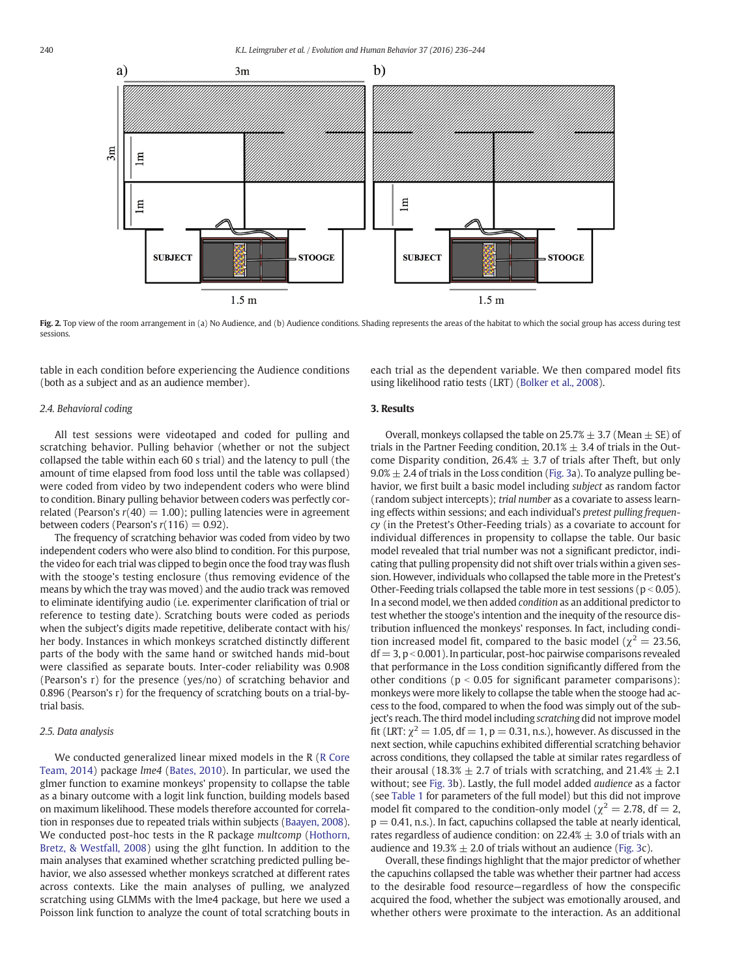<span id="page-4-0"></span>

Fig. 2. Top view of the room arrangement in (a) No Audience, and (b) Audience conditions. Shading represents the areas of the habitat to which the social group has access during test sessions.

table in each condition before experiencing the Audience conditions (both as a subject and as an audience member).

# 2.4. Behavioral coding

All test sessions were videotaped and coded for pulling and scratching behavior. Pulling behavior (whether or not the subject collapsed the table within each 60 s trial) and the latency to pull (the amount of time elapsed from food loss until the table was collapsed) were coded from video by two independent coders who were blind to condition. Binary pulling behavior between coders was perfectly correlated (Pearson's  $r(40) = 1.00$ ); pulling latencies were in agreement between coders (Pearson's  $r(116) = 0.92$ ).

The frequency of scratching behavior was coded from video by two independent coders who were also blind to condition. For this purpose, the video for each trial was clipped to begin once the food tray was flush with the stooge's testing enclosure (thus removing evidence of the means by which the tray was moved) and the audio track was removed to eliminate identifying audio (i.e. experimenter clarification of trial or reference to testing date). Scratching bouts were coded as periods when the subject's digits made repetitive, deliberate contact with his/ her body. Instances in which monkeys scratched distinctly different parts of the body with the same hand or switched hands mid-bout were classified as separate bouts. Inter-coder reliability was 0.908 (Pearson's r) for the presence (yes/no) of scratching behavior and 0.896 (Pearson's r) for the frequency of scratching bouts on a trial-bytrial basis.

# 2.5. Data analysis

We conducted generalized linear mixed models in the R [\(R Core](#page-8-0) [Team, 2014](#page-8-0)) package lme4 [\(Bates, 2010\)](#page-7-0). In particular, we used the glmer function to examine monkeys' propensity to collapse the table as a binary outcome with a logit link function, building models based on maximum likelihood. These models therefore accounted for correlation in responses due to repeated trials within subjects [\(Baayen, 2008](#page-7-0)). We conducted post-hoc tests in the R package multcomp ([Hothorn,](#page-8-0) [Bretz, & Westfall, 2008\)](#page-8-0) using the glht function. In addition to the main analyses that examined whether scratching predicted pulling behavior, we also assessed whether monkeys scratched at different rates across contexts. Like the main analyses of pulling, we analyzed scratching using GLMMs with the lme4 package, but here we used a Poisson link function to analyze the count of total scratching bouts in

each trial as the dependent variable. We then compared model fits using likelihood ratio tests (LRT) ([Bolker et al., 2008](#page-7-0)).

# 3. Results

Overall, monkeys collapsed the table on  $25.7% \pm 3.7$  (Mean  $\pm$  SE) of trials in the Partner Feeding condition,  $20.1\% \pm 3.4$  of trials in the Outcome Disparity condition,  $26.4% \pm 3.7$  of trials after Theft, but only  $9.0\% \pm 2.4$  of trials in the Loss condition [\(Fig. 3](#page-5-0)a). To analyze pulling behavior, we first built a basic model including subject as random factor (random subject intercepts); trial number as a covariate to assess learning effects within sessions; and each individual's pretest pulling frequency (in the Pretest's Other-Feeding trials) as a covariate to account for individual differences in propensity to collapse the table. Our basic model revealed that trial number was not a significant predictor, indicating that pulling propensity did not shift over trials within a given session. However, individuals who collapsed the table more in the Pretest's Other-Feeding trials collapsed the table more in test sessions ( $p < 0.05$ ). In a second model, we then added condition as an additional predictor to test whether the stooge's intention and the inequity of the resource distribution influenced the monkeys' responses. In fact, including condition increased model fit, compared to the basic model ( $\chi^2 = 23.56$ ,  $df = 3$ ,  $p < 0.001$ ). In particular, post-hoc pairwise comparisons revealed that performance in the Loss condition significantly differed from the other conditions ( $p < 0.05$  for significant parameter comparisons): monkeys were more likely to collapse the table when the stooge had access to the food, compared to when the food was simply out of the subject's reach. The third model including scratching did not improve model fit (LRT:  $\chi^2$  = 1.05, df = 1, p = 0.31, n.s.), however. As discussed in the next section, while capuchins exhibited differential scratching behavior across conditions, they collapsed the table at similar rates regardless of their arousal (18.3%  $\pm$  2.7 of trials with scratching, and 21.4%  $\pm$  2.1 without; see [Fig. 3](#page-5-0)b). Lastly, the full model added audience as a factor (see [Table 1](#page-5-0) for parameters of the full model) but this did not improve model fit compared to the condition-only model ( $\chi^2$  = 2.78, df = 2,  $p = 0.41$ , n.s.). In fact, capuchins collapsed the table at nearly identical, rates regardless of audience condition: on  $22.4% \pm 3.0$  of trials with an audience and  $19.3\% \pm 2.0$  of trials without an audience [\(Fig. 3](#page-5-0)c).

Overall, these findings highlight that the major predictor of whether the capuchins collapsed the table was whether their partner had access to the desirable food resource—regardless of how the conspecific acquired the food, whether the subject was emotionally aroused, and whether others were proximate to the interaction. As an additional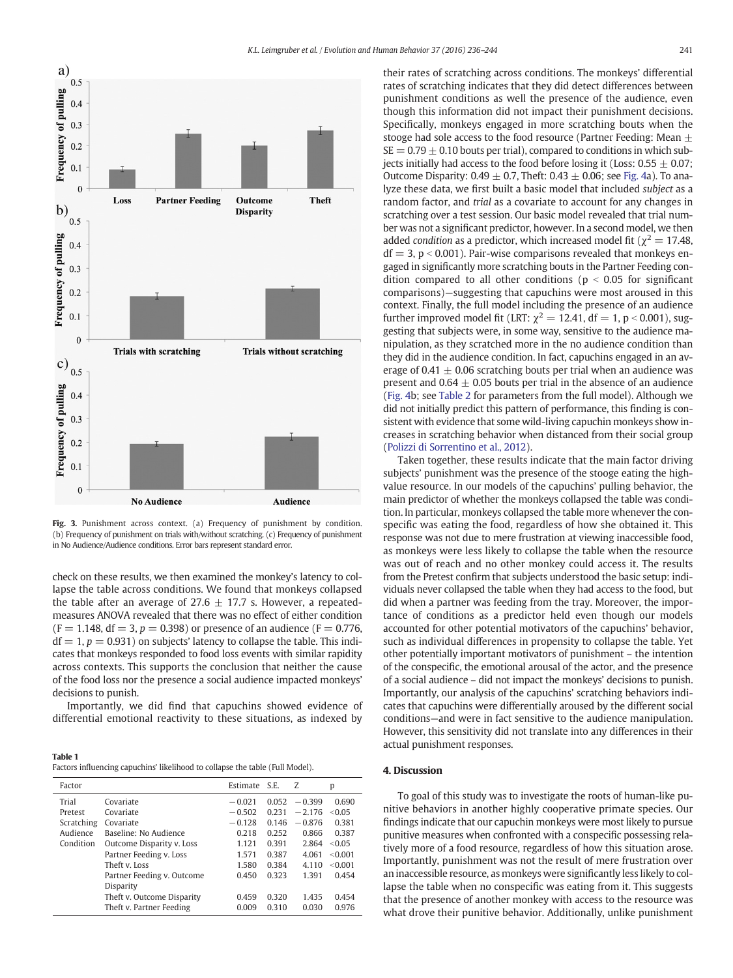<span id="page-5-0"></span>

Fig. 3. Punishment across context. (a) Frequency of punishment by condition. (b) Frequency of punishment on trials with/without scratching. (c) Frequency of punishment in No Audience/Audience conditions. Error bars represent standard error.

check on these results, we then examined the monkey's latency to collapse the table across conditions. We found that monkeys collapsed the table after an average of 27.6  $\pm$  17.7 s. However, a repeatedmeasures ANOVA revealed that there was no effect of either condition  $(F = 1.148, df = 3, p = 0.398)$  or presence of an audience  $(F = 0.776,$  $df = 1, p = 0.931$  on subjects' latency to collapse the table. This indicates that monkeys responded to food loss events with similar rapidity across contexts. This supports the conclusion that neither the cause of the food loss nor the presence a social audience impacted monkeys' decisions to punish.

Importantly, we did find that capuchins showed evidence of differential emotional reactivity to these situations, as indexed by

Table 1 Factors influencing capuchins' likelihood to collapse the table (Full Model).

| Factor                                     |                                                                                                                                                                            | Estimate S.E.                                      |                                                    | Z                                                  | p                                                       |
|--------------------------------------------|----------------------------------------------------------------------------------------------------------------------------------------------------------------------------|----------------------------------------------------|----------------------------------------------------|----------------------------------------------------|---------------------------------------------------------|
| Trial<br>Pretest<br>Scratching<br>Audience | Covariate<br>Covariate<br>Covariate<br>Baseline: No Audience                                                                                                               | $-0.021$<br>$-0.502$<br>$-0.128$<br>0.218          | 0.052<br>0.231<br>0.146<br>0.252                   | $-0.399$<br>$-2.176$<br>$-0.876$<br>0.866          | 0.690<br>< 0.05<br>0.381<br>0.387                       |
| Condition                                  | Outcome Disparity v. Loss<br>Partner Feeding v. Loss<br>Theft v. Loss<br>Partner Feeding v. Outcome<br>Disparity<br>Theft v. Outcome Disparity<br>Theft v. Partner Feeding | 1.121<br>1.571<br>1.580<br>0.450<br>0.459<br>0.009 | 0.391<br>0.387<br>0.384<br>0.323<br>0.320<br>0.310 | 2.864<br>4.061<br>4.110<br>1.391<br>1.435<br>0.030 | < 0.05<br>< 0.001<br>< 0.001<br>0.454<br>0.454<br>0.976 |

their rates of scratching across conditions. The monkeys' differential rates of scratching indicates that they did detect differences between punishment conditions as well the presence of the audience, even though this information did not impact their punishment decisions. Specifically, monkeys engaged in more scratching bouts when the stooge had sole access to the food resource (Partner Feeding: Mean  $\pm$  $SE = 0.79 \pm 0.10$  bouts per trial), compared to conditions in which subjects initially had access to the food before losing it (Loss:  $0.55 \pm 0.07$ ; Outcome Disparity:  $0.49 \pm 0.7$ , Theft:  $0.43 \pm 0.06$ ; see [Fig. 4a](#page-6-0)). To analyze these data, we first built a basic model that included subject as a random factor, and trial as a covariate to account for any changes in scratching over a test session. Our basic model revealed that trial number was not a significant predictor, however. In a second model, we then added condition as a predictor, which increased model fit ( $\chi^2 = 17.48$ ,  $df = 3$ ,  $p < 0.001$ ). Pair-wise comparisons revealed that monkeys engaged in significantly more scratching bouts in the Partner Feeding condition compared to all other conditions ( $p < 0.05$  for significant comparisons)—suggesting that capuchins were most aroused in this context. Finally, the full model including the presence of an audience further improved model fit (LRT:  $\chi^2 = 12.41$ , df = 1, p < 0.001), suggesting that subjects were, in some way, sensitive to the audience manipulation, as they scratched more in the no audience condition than they did in the audience condition. In fact, capuchins engaged in an average of 0.41  $\pm$  0.06 scratching bouts per trial when an audience was present and  $0.64 \pm 0.05$  bouts per trial in the absence of an audience [\(Fig. 4b](#page-6-0); see [Table 2](#page-6-0) for parameters from the full model). Although we did not initially predict this pattern of performance, this finding is consistent with evidence that some wild-living capuchin monkeys show increases in scratching behavior when distanced from their social group [\(Polizzi di Sorrentino et al., 2012](#page-8-0)).

Taken together, these results indicate that the main factor driving subjects' punishment was the presence of the stooge eating the highvalue resource. In our models of the capuchins' pulling behavior, the main predictor of whether the monkeys collapsed the table was condition. In particular, monkeys collapsed the table more whenever the conspecific was eating the food, regardless of how she obtained it. This response was not due to mere frustration at viewing inaccessible food, as monkeys were less likely to collapse the table when the resource was out of reach and no other monkey could access it. The results from the Pretest confirm that subjects understood the basic setup: individuals never collapsed the table when they had access to the food, but did when a partner was feeding from the tray. Moreover, the importance of conditions as a predictor held even though our models accounted for other potential motivators of the capuchins' behavior, such as individual differences in propensity to collapse the table. Yet other potentially important motivators of punishment – the intention of the conspecific, the emotional arousal of the actor, and the presence of a social audience – did not impact the monkeys' decisions to punish. Importantly, our analysis of the capuchins' scratching behaviors indicates that capuchins were differentially aroused by the different social conditions—and were in fact sensitive to the audience manipulation. However, this sensitivity did not translate into any differences in their actual punishment responses.

#### 4. Discussion

To goal of this study was to investigate the roots of human-like punitive behaviors in another highly cooperative primate species. Our findings indicate that our capuchin monkeys were most likely to pursue punitive measures when confronted with a conspecific possessing relatively more of a food resource, regardless of how this situation arose. Importantly, punishment was not the result of mere frustration over an inaccessible resource, as monkeys were significantly less likely to collapse the table when no conspecific was eating from it. This suggests that the presence of another monkey with access to the resource was what drove their punitive behavior. Additionally, unlike punishment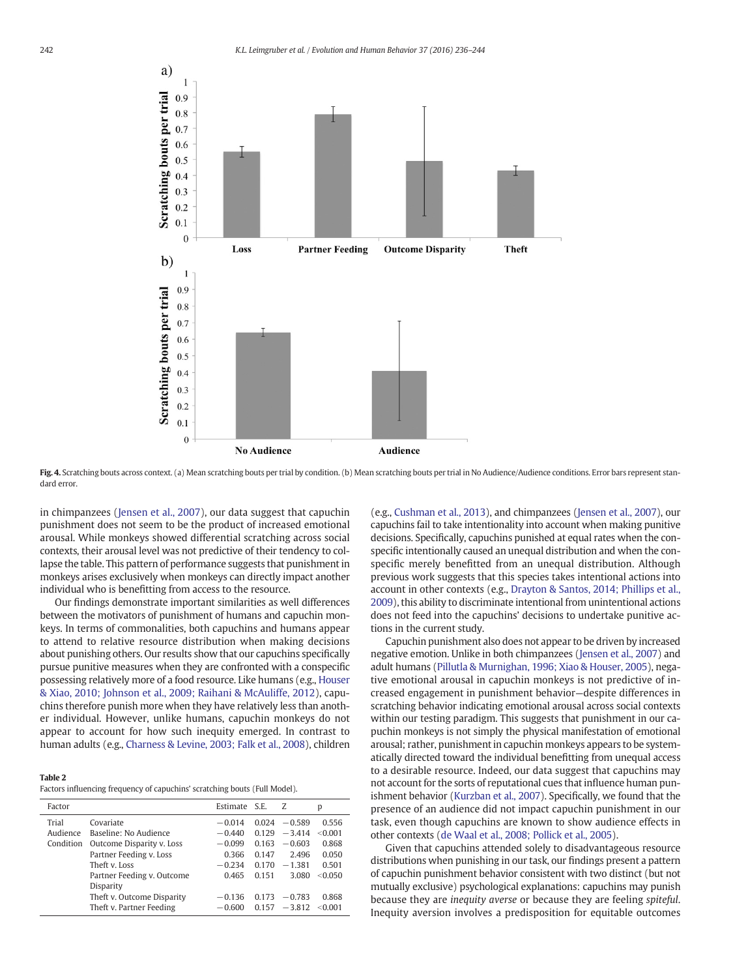<span id="page-6-0"></span>

Fig. 4. Scratching bouts across context. (a) Mean scratching bouts per trial by condition. (b) Mean scratching bouts per trial in No Audience/Audience conditions. Error bars represent standard error.

in chimpanzees ([Jensen et al., 2007](#page-8-0)), our data suggest that capuchin punishment does not seem to be the product of increased emotional arousal. While monkeys showed differential scratching across social contexts, their arousal level was not predictive of their tendency to collapse the table. This pattern of performance suggests that punishment in monkeys arises exclusively when monkeys can directly impact another individual who is benefitting from access to the resource.

Our findings demonstrate important similarities as well differences between the motivators of punishment of humans and capuchin monkeys. In terms of commonalities, both capuchins and humans appear to attend to relative resource distribution when making decisions about punishing others. Our results show that our capuchins specifically pursue punitive measures when they are confronted with a conspecific possessing relatively more of a food resource. Like humans (e.g., [Houser](#page-8-0) [& Xiao, 2010; Johnson et al., 2009; Raihani & McAuliffe, 2012](#page-8-0)), capuchins therefore punish more when they have relatively less than another individual. However, unlike humans, capuchin monkeys do not appear to account for how such inequity emerged. In contrast to human adults (e.g., [Charness & Levine, 2003; Falk et al., 2008](#page-7-0)), children

#### Table 2

Factors influencing frequency of capuchins' scratching bouts (Full Model).

| Factor                         |                                                                                                                                                                                      | Estimate S.E.                                                              |                                                             | Z                                                                          | p                                                               |
|--------------------------------|--------------------------------------------------------------------------------------------------------------------------------------------------------------------------------------|----------------------------------------------------------------------------|-------------------------------------------------------------|----------------------------------------------------------------------------|-----------------------------------------------------------------|
| Trial<br>Audience<br>Condition | Covariate<br>Baseline: No Audience<br>Outcome Disparity v. Loss<br>Partner Feeding v. Loss<br>Theft v. Loss<br>Partner Feeding v. Outcome<br>Disparity<br>Theft v. Outcome Disparity | $-0.014$<br>$-0.440$<br>$-0.099$<br>0.366<br>$-0.234$<br>0.465<br>$-0.136$ | 0.024<br>0.129<br>0.163<br>0.147<br>0.170<br>0.151<br>0.173 | $-0.589$<br>$-3.414$<br>$-0.603$<br>2.496<br>$-1.381$<br>3.080<br>$-0.783$ | 0.556<br>< 0.001<br>0.868<br>0.050<br>0.501<br>< 0.050<br>0.868 |
|                                | Theft v. Partner Feeding                                                                                                                                                             | $-0.600$                                                                   | 0.157                                                       | $-3.812$                                                                   | < 0.001                                                         |

(e.g., [Cushman et al., 2013](#page-7-0)), and chimpanzees [\(Jensen et al., 2007](#page-8-0)), our capuchins fail to take intentionality into account when making punitive decisions. Specifically, capuchins punished at equal rates when the conspecific intentionally caused an unequal distribution and when the conspecific merely benefitted from an unequal distribution. Although previous work suggests that this species takes intentional actions into account in other contexts (e.g., [Drayton & Santos, 2014; Phillips et al.,](#page-7-0) [2009](#page-7-0)), this ability to discriminate intentional from unintentional actions does not feed into the capuchins' decisions to undertake punitive actions in the current study.

Capuchin punishment also does not appear to be driven by increased negative emotion. Unlike in both chimpanzees ([Jensen et al., 2007\)](#page-8-0) and adult humans [\(Pillutla & Murnighan, 1996; Xiao & Houser, 2005](#page-8-0)), negative emotional arousal in capuchin monkeys is not predictive of increased engagement in punishment behavior—despite differences in scratching behavior indicating emotional arousal across social contexts within our testing paradigm. This suggests that punishment in our capuchin monkeys is not simply the physical manifestation of emotional arousal; rather, punishment in capuchin monkeys appears to be systematically directed toward the individual benefitting from unequal access to a desirable resource. Indeed, our data suggest that capuchins may not account for the sorts of reputational cues that influence human punishment behavior [\(Kurzban et al., 2007\)](#page-8-0). Specifically, we found that the presence of an audience did not impact capuchin punishment in our task, even though capuchins are known to show audience effects in other contexts [\(de Waal et al., 2008; Pollick et al., 2005\)](#page-7-0).

Given that capuchins attended solely to disadvantageous resource distributions when punishing in our task, our findings present a pattern of capuchin punishment behavior consistent with two distinct (but not mutually exclusive) psychological explanations: capuchins may punish because they are inequity averse or because they are feeling spiteful. Inequity aversion involves a predisposition for equitable outcomes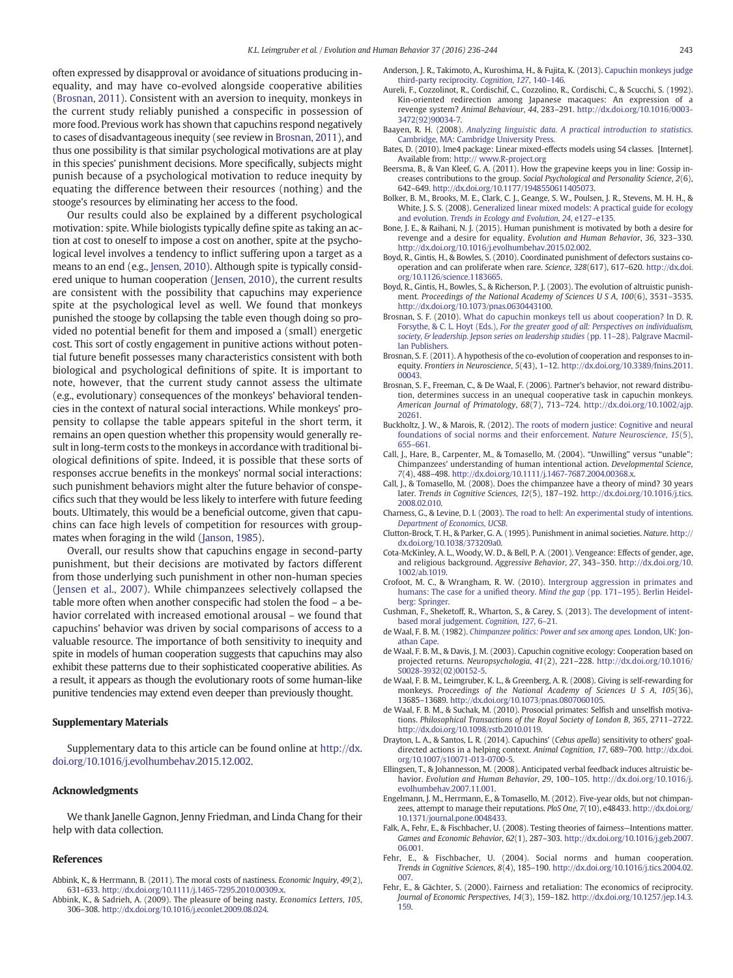<span id="page-7-0"></span>often expressed by disapproval or avoidance of situations producing inequality, and may have co-evolved alongside cooperative abilities (Brosnan, 2011). Consistent with an aversion to inequity, monkeys in the current study reliably punished a conspecific in possession of more food. Previous work has shown that capuchins respond negatively to cases of disadvantageous inequity (see review in Brosnan, 2011), and thus one possibility is that similar psychological motivations are at play in this species' punishment decisions. More specifically, subjects might punish because of a psychological motivation to reduce inequity by equating the difference between their resources (nothing) and the stooge's resources by eliminating her access to the food.

Our results could also be explained by a different psychological motivation: spite. While biologists typically define spite as taking an action at cost to oneself to impose a cost on another, spite at the psychological level involves a tendency to inflict suffering upon a target as a means to an end (e.g., [Jensen, 2010\)](#page-8-0). Although spite is typically considered unique to human cooperation ([Jensen, 2010\)](#page-8-0), the current results are consistent with the possibility that capuchins may experience spite at the psychological level as well. We found that monkeys punished the stooge by collapsing the table even though doing so provided no potential benefit for them and imposed a (small) energetic cost. This sort of costly engagement in punitive actions without potential future benefit possesses many characteristics consistent with both biological and psychological definitions of spite. It is important to note, however, that the current study cannot assess the ultimate (e.g., evolutionary) consequences of the monkeys' behavioral tendencies in the context of natural social interactions. While monkeys' propensity to collapse the table appears spiteful in the short term, it remains an open question whether this propensity would generally result in long-term costs to the monkeys in accordance with traditional biological definitions of spite. Indeed, it is possible that these sorts of responses accrue benefits in the monkeys' normal social interactions: such punishment behaviors might alter the future behavior of conspecifics such that they would be less likely to interfere with future feeding bouts. Ultimately, this would be a beneficial outcome, given that capuchins can face high levels of competition for resources with groupmates when foraging in the wild ([Janson, 1985\)](#page-8-0).

Overall, our results show that capuchins engage in second-party punishment, but their decisions are motivated by factors different from those underlying such punishment in other non-human species [\(Jensen et al., 2007](#page-8-0)). While chimpanzees selectively collapsed the table more often when another conspecific had stolen the food – a behavior correlated with increased emotional arousal – we found that capuchins' behavior was driven by social comparisons of access to a valuable resource. The importance of both sensitivity to inequity and spite in models of human cooperation suggests that capuchins may also exhibit these patterns due to their sophisticated cooperative abilities. As a result, it appears as though the evolutionary roots of some human-like punitive tendencies may extend even deeper than previously thought.

#### Supplementary Materials

Supplementary data to this article can be found online at [http://dx.](http://dx.doi.org/10.1016/j.evolhumbehav.2015.12.002) [doi.org/10.1016/j.evolhumbehav.2015.12.002](http://dx.doi.org/10.1016/j.evolhumbehav.2015.12.002).

#### Acknowledgments

We thank Janelle Gagnon, Jenny Friedman, and Linda Chang for their help with data collection.

#### References

- Abbink, K., & Herrmann, B. (2011). The moral costs of nastiness. Economic Inquiry, 49(2), 631–633. http://dx.doi.org[/10.1111/j.1465-7295.2010.00309.x](http://dx.doi.org/10.1111/j.1465-7295.2010.00309.x).
- Abbink, K., & Sadrieh, A. (2009). The pleasure of being nasty. Economics Letters, 105, 306–308. http://dx.doi.org[/10.1016/j.econlet.2009.08.024](http://dx.doi.org/10.1016/j.econlet.2009.08.024).
- Anderson, J. R., Takimoto, A., Kuroshima, H., & Fujita, K. (2013). [Capuchin monkeys judge](http://refhub.elsevier.com/S1090-5138(15)00122-1/rf0015) [third-party reciprocity.](http://refhub.elsevier.com/S1090-5138(15)00122-1/rf0015) Cognition, 127, 140–146.
- Aureli, F., Cozzolinot, R., Cordischif, C., Cozzolino, R., Cordischi, C., & Scucchi, S. (1992). Kin-oriented redirection among Japanese macaques: An expression of a revenge system? Animal Behaviour, 44, 283–291. http://dx.doi.org[/10.1016/0003-](http://dx.doi.org/10.1016/0003-3472(92)90034-7) [3472\(92\)90034-7](http://dx.doi.org/10.1016/0003-3472(92)90034-7).
- Baayen, R. H. (2008). [Analyzing linguistic data. A practical introduction to statistics.](http://refhub.elsevier.com/S1090-5138(15)00122-1/rf0025) [Cambridge, MA: Cambridge University Press.](http://refhub.elsevier.com/S1090-5138(15)00122-1/rf0025)
- Bates, D. (2010). lme4 package: Linear mixed-effects models using S4 classes. [Internet]. Available from: [http:// www.R-project.org](http://%20www.R-project.org)
- Beersma, B., & Van Kleef, G. A. (2011). How the grapevine keeps you in line: Gossip increases contributions to the group. Social Psychological and Personality Science, 2(6), 642–649. http://dx.doi.org[/10.1177/1948550611405073](http://dx.doi.org/10.1177/1948550611405073).
- Bolker, B. M., Brooks, M. E., Clark, C. J., Geange, S. W., Poulsen, J. R., Stevens, M. H. H., & White, J. S. S. (2008). [Generalized linear mixed models: A practical guide for ecology](http://refhub.elsevier.com/S1090-5138(15)00122-1/rf0040) and evolution. [Trends in Ecology and Evolution](http://refhub.elsevier.com/S1090-5138(15)00122-1/rf0040), 24, e127–e135.
- Bone, J. E., & Raihani, N. J. (2015). Human punishment is motivated by both a desire for revenge and a desire for equality. Evolution and Human Behavior, 36, 323–330. http://dx.doi.org[/10.1016/j.evolhumbehav.2015.02.002.](http://dx.doi.org/10.1016/j.evolhumbehav.2015.02.002)
- Boyd, R., Gintis, H., & Bowles, S. (2010). Coordinated punishment of defectors sustains cooperation and can proliferate when rare. Science, 328(617), 617–620. http://dx.doi. org[/10.1126/science.1183665.](http://dx.doi.org/10.1126/science.1183665)
- Boyd, R., Gintis, H., Bowles, S., & Richerson, P. J. (2003). The evolution of altruistic punishment. Proceedings of the National Academy of Sciences U S A, 100(6), 3531–3535. http://dx.doi.org[/10.1073/pnas.0630443100](http://dx.doi.org/10.1073/pnas.0630443100).
- Brosnan, S. F. (2010). [What do capuchin monkeys tell us about cooperation? In D. R.](http://refhub.elsevier.com/S1090-5138(15)00122-1/rf0060) Forsythe, & C. L. Hoyt (Eds.), [For the greater good of all: Perspectives on individualism,](http://refhub.elsevier.com/S1090-5138(15)00122-1/rf0060) [society, & leadership. Jepson series on leadership studies](http://refhub.elsevier.com/S1090-5138(15)00122-1/rf0060) (pp. 11-28). Palgrave Macmil[lan Publishers.](http://refhub.elsevier.com/S1090-5138(15)00122-1/rf0060)
- Brosnan, S. F. (2011). A hypothesis of the co-evolution of cooperation and responses to inequity. Frontiers in Neuroscience, 5(43), 1–12. http://dx.doi.org/[10.3389/fnins.2011.](http://dx.doi.org/10.3389/fnins.2011.00043) [00043](http://dx.doi.org/10.3389/fnins.2011.00043).
- Brosnan, S. F., Freeman, C., & De Waal, F. (2006). Partner's behavior, not reward distribution, determines success in an unequal cooperative task in capuchin monkeys. American Journal of Primatology, 68(7), 713–724. http://dx.doi.org/[10.1002/ajp.](http://dx.doi.org/10.1002/ajp.20261) [20261](http://dx.doi.org/10.1002/ajp.20261).
- Buckholtz, J. W., & Marois, R. (2012). [The roots of modern justice: Cognitive and neural](http://refhub.elsevier.com/S1090-5138(15)00122-1/rf0075) [foundations of social norms and their enforcement.](http://refhub.elsevier.com/S1090-5138(15)00122-1/rf0075) Nature Neuroscience, 15(5), 655–[661.](http://refhub.elsevier.com/S1090-5138(15)00122-1/rf0075)
- Call, J., Hare, B., Carpenter, M., & Tomasello, M. (2004). "Unwilling" versus "unable": Chimpanzees' understanding of human intentional action. Developmental Science, 7(4), 488–498. http://dx.doi.org[/10.1111/j.1467-7687.2004.00368.x.](http://dx.doi.org/10.1111/j.1467-7687.2004.00368.x)
- Call, J., & Tomasello, M. (2008). Does the chimpanzee have a theory of mind? 30 years later. Trends in Cognitive Sciences, 12(5), 187–192. http://dx.doi.org[/10.1016/j.tics.](http://dx.doi.org/10.1016/j.tics.2008.02.010) [2008.02.010](http://dx.doi.org/10.1016/j.tics.2008.02.010).
- Charness, G., & Levine, D. I. (2003). [The road to hell: An experimental study of intentions.](http://refhub.elsevier.com/S1090-5138(15)00122-1/rf0090) [Department of Economics, UCSB](http://refhub.elsevier.com/S1090-5138(15)00122-1/rf0090).
- Clutton-Brock, T. H., & Parker, G. A. (1995). Punishment in animal societies. Nature. http:// dx.doi.org/[10.1038/373209a0.](http://dx.doi.org/10.1038/373209a0)
- Cota‐McKinley, A. L., Woody, W. D., & Bell, P. A. (2001). Vengeance: Effects of gender, age, and religious background. Aggressive Behavior, 27, 343–350. http://dx.doi.org/[10.](http://dx.doi.org/10.1002/ab.1019) [1002/ab.1019](http://dx.doi.org/10.1002/ab.1019).
- Crofoot, M. C., & Wrangham, R. W. (2010). [Intergroup aggression in primates and](http://refhub.elsevier.com/S1090-5138(15)00122-1/rf0105) [humans: The case for a uni](http://refhub.elsevier.com/S1090-5138(15)00122-1/rf0105)fied theory. Mind the gap (pp. 171-195). Berlin Heidel[berg: Springer.](http://refhub.elsevier.com/S1090-5138(15)00122-1/rf0105)
- Cushman, F., Sheketoff, R., Wharton, S., & Carey, S. (2013). [The development of intent](http://refhub.elsevier.com/S1090-5138(15)00122-1/rf0110)[based moral judgement.](http://refhub.elsevier.com/S1090-5138(15)00122-1/rf0110) Cognition, 127, 6–21.
- de Waal, F. B. M. (1982). [Chimpanzee politics: Power and sex among apes.](http://refhub.elsevier.com/S1090-5138(15)00122-1/rf0115) London, UK: Jon[athan Cape.](http://refhub.elsevier.com/S1090-5138(15)00122-1/rf0115)
- de Waal, F. B. M., & Davis, J. M. (2003). Capuchin cognitive ecology: Cooperation based on projected returns. Neuropsychologia, 41(2), 221–228. http://dx.doi.org[/10.1016/](http://dx.doi.org/10.1016/S0028-3932(02)00152-5) [S0028-3932\(02\)00152-5.](http://dx.doi.org/10.1016/S0028-3932(02)00152-5)
- de Waal, F. B. M., Leimgruber, K. L., & Greenberg, A. R. (2008). Giving is self-rewarding for monkeys. Proceedings of the National Academy of Sciences U S A, 105(36), 13685–13689. http://dx.doi.org/[10.1073/pnas.0807060105.](http://dx.doi.org/10.1073/pnas.0807060105)
- de Waal, F. B. M., & Suchak, M. (2010). Prosocial primates: Selfish and unselfish motivations. Philosophical Transactions of the Royal Society of London B, 365, 2711–2722. http://dx.doi.org[/10.1098/rstb.2010.0119](http://dx.doi.org/10.1098/rstb.2010.0119).
- Drayton, L. A., & Santos, L. R. (2014). Capuchins' (Cebus apella) sensitivity to others' goaldirected actions in a helping context. Animal Cognition, 17, 689–700. http://dx.doi. org[/10.1007/s10071-013-0700-5](http://dx.doi.org/10.1007/s10071-013-0700-5).
- Ellingsen, T., & Johannesson, M. (2008). Anticipated verbal feedback induces altruistic behavior. Evolution and Human Behavior, 29, 100–105. http://dx.doi.org/[10.1016/j.](http://dx.doi.org/10.1016/j.evolhumbehav.2007.11.001) [evolhumbehav.2007.11.001.](http://dx.doi.org/10.1016/j.evolhumbehav.2007.11.001)
- Engelmann, J. M., Herrmann, E., & Tomasello, M. (2012). Five-year olds, but not chimpanzees, attempt to manage their reputations. PloS One, 7(10), e48433. http://dx.doi.org/ [10.1371/journal.pone.0048433](http://dx.doi.org/10.1371/journal.pone.0048433).
- Falk, A., Fehr, E., & Fischbacher, U. (2008). Testing theories of fairness—Intentions matter. Games and Economic Behavior, 62(1), 287–303. http://dx.doi.org[/10.1016/j.geb.2007.](http://dx.doi.org/10.1016/j.geb.2007.06.001) [06.001.](http://dx.doi.org/10.1016/j.geb.2007.06.001)
- Fehr, E., & Fischbacher, U. (2004). Social norms and human cooperation. Trends in Cognitive Sciences, 8(4), 185–190. http://dx.doi.org[/10.1016/j.tics.2004.02.](http://dx.doi.org/10.1016/j.tics.2004.02.007) [007](http://dx.doi.org/10.1016/j.tics.2004.02.007).
- Fehr, E., & Gächter, S. (2000). Fairness and retaliation: The economics of reciprocity. Journal of Economic Perspectives, 14(3), 159–182. http://dx.doi.org/[10.1257/jep.14.3.](http://dx.doi.org/10.1257/jep.14.3.159) [159](http://dx.doi.org/10.1257/jep.14.3.159).